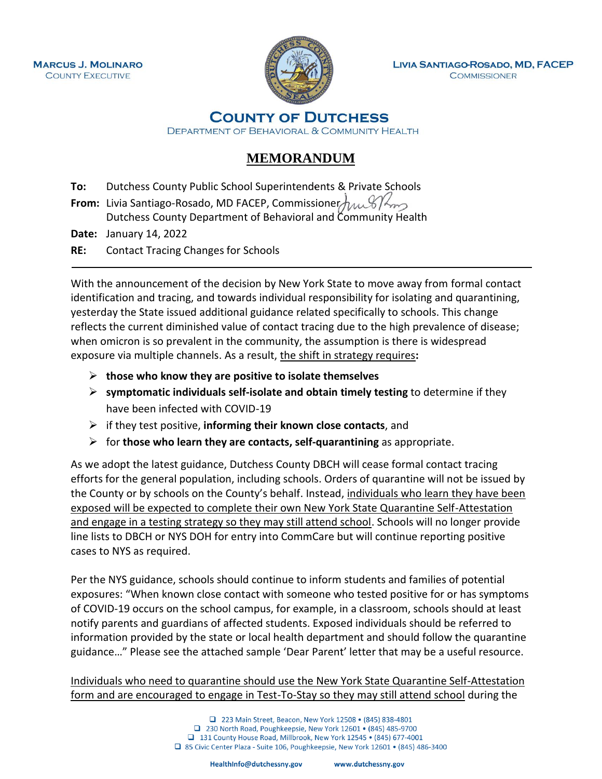

**LIVIA SANTIAGO-ROSADO, MD, FACEP COMMISSIONER** 

**COUNTY OF DUTCHESS** 

DEPARTMENT OF BEHAVIORAL & COMMUNITY HEALTH

## **MEMORANDUM**

**To:** Dutchess County Public School Superintendents & Private Schools

**From:** Livia Santiago-Rosado, MD FACEP, Commissioner $\frac{1}{2}$ Dutchess County Department of Behavioral and Community Health

**Date:** January 14, 2022

**RE:** Contact Tracing Changes for Schools

With the announcement of the decision by New York State to move away from formal contact identification and tracing, and towards individual responsibility for isolating and quarantining, yesterday the State issued additional guidance related specifically to schools. This change reflects the current diminished value of contact tracing due to the high prevalence of disease; when omicron is so prevalent in the community, the assumption is there is widespread exposure via multiple channels. As a result, the shift in strategy requires**:**

- ➢ **those who know they are positive to isolate themselves**
- ➢ **symptomatic individuals self-isolate and obtain timely testing** to determine if they have been infected with COVID-19
- ➢ if they test positive, **informing their known close contacts**, and
- ➢ for **those who learn they are contacts, self-quarantining** as appropriate.

As we adopt the latest guidance, Dutchess County DBCH will cease formal contact tracing efforts for the general population, including schools. Orders of quarantine will not be issued by the County or by schools on the County's behalf. Instead, individuals who learn they have been exposed will be expected to complete their own New York State Quarantine Self-Attestation and engage in a testing strategy so they may still attend school. Schools will no longer provide line lists to DBCH or NYS DOH for entry into CommCare but will continue reporting positive cases to NYS as required.

Per the NYS guidance, schools should continue to inform students and families of potential exposures: "When known close contact with someone who tested positive for or has symptoms of COVID-19 occurs on the school campus, for example, in a classroom, schools should at least notify parents and guardians of affected students. Exposed individuals should be referred to information provided by the state or local health department and should follow the quarantine guidance…" Please see the attached sample 'Dear Parent' letter that may be a useful resource.

Individuals who need to quarantine should use the New York State Quarantine Self-Attestation form and are encouraged to engage in Test-To-Stay so they may still attend school during the